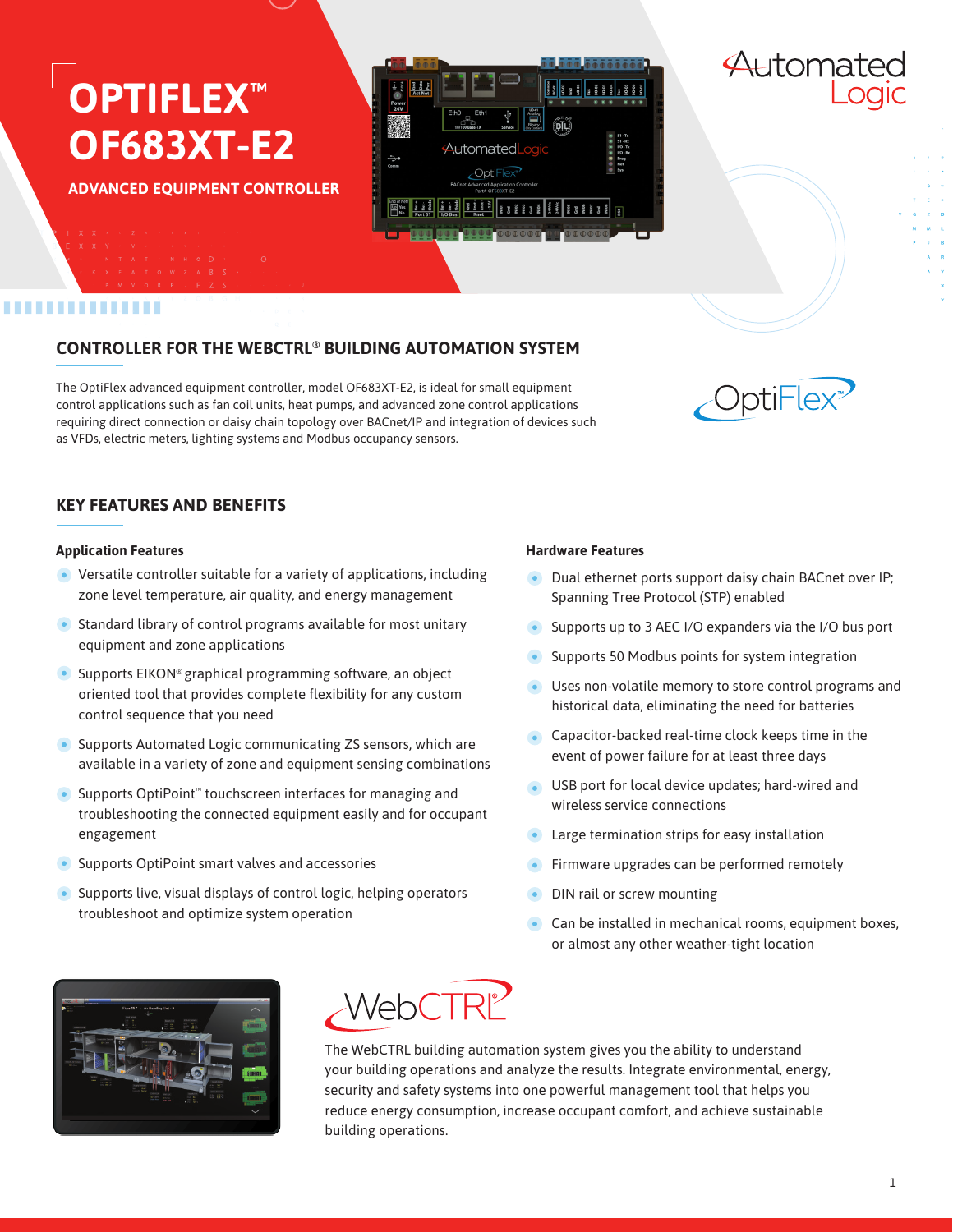## **OPTIFLEX™ OF683XT-E2**

**ADVANCED EQUIPMENT CONTROLLER**

- 
- 
- 
- 

# Automated OptiFlex

## ..............

## **CONTROLLER FOR THE WEBCTRL® BUILDING AUTOMATION SYSTEM**

The OptiFlex advanced equipment controller, model OF683XT-E2, is ideal for small equipment control applications such as fan coil units, heat pumps, and advanced zone control applications requiring direct connection or daisy chain topology over BACnet/IP and integration of devices such as VFDs, electric meters, lighting systems and Modbus occupancy sensors.



Automatec

## **KEY FEATURES AND BENEFITS**

#### **Application Features**

- Versatile controller suitable for a variety of applications, including zone level temperature, air quality, and energy management
- **•** Standard library of control programs available for most unitary equipment and zone applications
- **•** Supports EIKON® graphical programming software, an object oriented tool that provides complete flexibility for any custom control sequence that you need
- Supports Automated Logic communicating ZS sensors, which are available in a variety of zone and equipment sensing combinations
- Supports OptiPoint<sup>™</sup> touchscreen interfaces for managing and troubleshooting the connected equipment easily and for occupant engagement
- **•** Supports OptiPoint smart valves and accessories
- Supports live, visual displays of control logic, helping operators troubleshoot and optimize system operation

#### **Hardware Features**

- **Dual ethernet ports support daisy chain BACnet over IP;** Spanning Tree Protocol (STP) enabled
- Supports up to 3 AEC I/O expanders via the I/O bus port
- Supports 50 Modbus points for system integration
- Uses non-volatile memory to store control programs and historical data, eliminating the need for batteries
- **Capacitor-backed real-time clock keeps time in the** event of power failure for at least three days
- USB port for local device updates; hard-wired and wireless service connections
- **•** Large termination strips for easy installation
- Firmware upgrades can be performed remotely
- DIN rail or screw mounting
- **Can be installed in mechanical rooms, equipment boxes,** or almost any other weather-tight location





The WebCTRL building automation system gives you the ability to understand your building operations and analyze the results. Integrate environmental, energy, security and safety systems into one powerful management tool that helps you reduce energy consumption, increase occupant comfort, and achieve sustainable building operations.